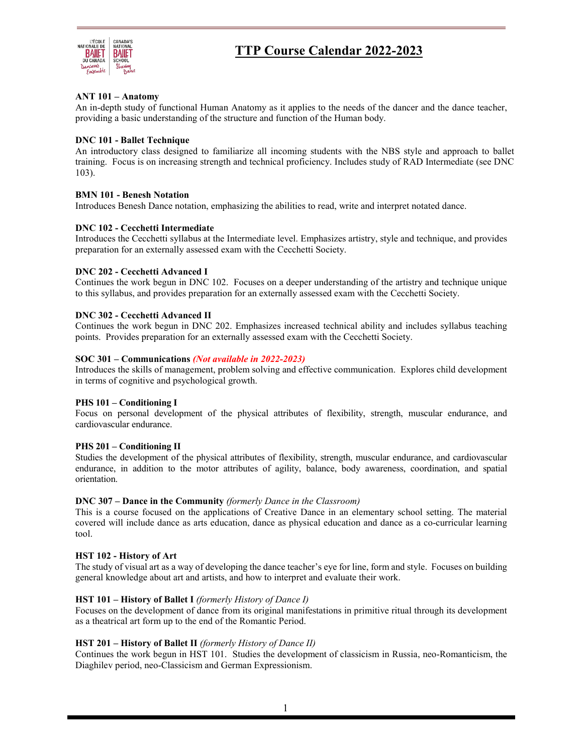

# **TTP Course Calendar 2022-2023**

# **ANT 101 – Anatomy**

An in-depth study of functional Human Anatomy as it applies to the needs of the dancer and the dance teacher, providing a basic understanding of the structure and function of the Human body.

## **DNC 101 - Ballet Technique**

An introductory class designed to familiarize all incoming students with the NBS style and approach to ballet training. Focus is on increasing strength and technical proficiency. Includes study of RAD Intermediate (see DNC 103).

# **BMN 101 - Benesh Notation**

Introduces Benesh Dance notation, emphasizing the abilities to read, write and interpret notated dance.

## **DNC 102 - Cecchetti Intermediate**

Introduces the Cecchetti syllabus at the Intermediate level. Emphasizes artistry, style and technique, and provides preparation for an externally assessed exam with the Cecchetti Society.

## **DNC 202 - Cecchetti Advanced I**

Continues the work begun in DNC 102. Focuses on a deeper understanding of the artistry and technique unique to this syllabus, and provides preparation for an externally assessed exam with the Cecchetti Society.

## **DNC 302 - Cecchetti Advanced II**

Continues the work begun in DNC 202. Emphasizes increased technical ability and includes syllabus teaching points. Provides preparation for an externally assessed exam with the Cecchetti Society.

# **SOC 301 – Communications** *(Not available in 2022-2023)*

Introduces the skills of management, problem solving and effective communication. Explores child development in terms of cognitive and psychological growth.

## **PHS 101 – Conditioning I**

Focus on personal development of the physical attributes of flexibility, strength, muscular endurance, and cardiovascular endurance.

## **PHS 201 – Conditioning II**

Studies the development of the physical attributes of flexibility, strength, muscular endurance, and cardiovascular endurance, in addition to the motor attributes of agility, balance, body awareness, coordination, and spatial orientation.

## **DNC 307 – Dance in the Community** *(formerly Dance in the Classroom)*

This is a course focused on the applications of Creative Dance in an elementary school setting. The material covered will include dance as arts education, dance as physical education and dance as a co-curricular learning tool.

## **HST 102 - History of Art**

The study of visual art as a way of developing the dance teacher's eye for line, form and style. Focuses on building general knowledge about art and artists, and how to interpret and evaluate their work.

## **HST 101 – History of Ballet I** *(formerly History of Dance I)*

Focuses on the development of dance from its original manifestations in primitive ritual through its development as a theatrical art form up to the end of the Romantic Period.

# **HST 201 – History of Ballet II** *(formerly History of Dance II)*

Continues the work begun in HST 101. Studies the development of classicism in Russia, neo-Romanticism, the Diaghilev period, neo-Classicism and German Expressionism.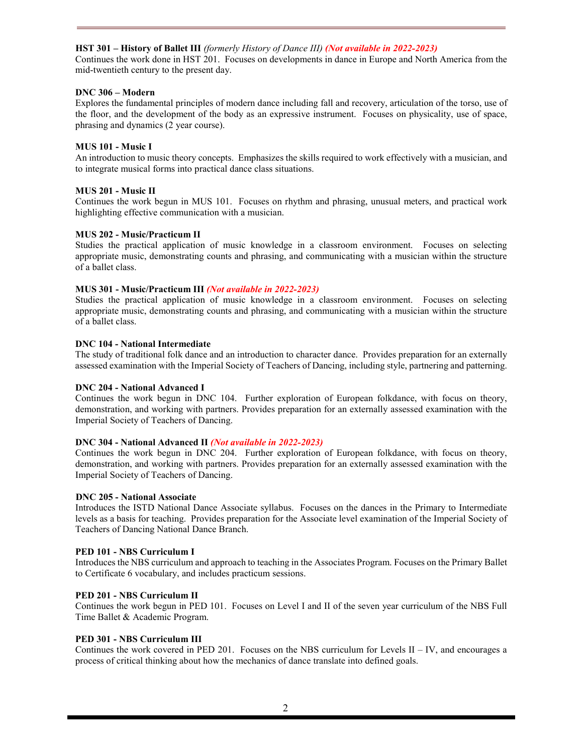# **HST 301 – History of Ballet III** *(formerly History of Dance III) (Not available in 2022-2023)*

Continues the work done in HST 201. Focuses on developments in dance in Europe and North America from the mid-twentieth century to the present day.

# **DNC 306 – Modern**

Explores the fundamental principles of modern dance including fall and recovery, articulation of the torso, use of the floor, and the development of the body as an expressive instrument. Focuses on physicality, use of space, phrasing and dynamics (2 year course).

# **MUS 101 - Music I**

An introduction to music theory concepts. Emphasizes the skills required to work effectively with a musician, and to integrate musical forms into practical dance class situations.

# **MUS 201 - Music II**

Continues the work begun in MUS 101. Focuses on rhythm and phrasing, unusual meters, and practical work highlighting effective communication with a musician.

# **MUS 202 - Music/Practicum II**

Studies the practical application of music knowledge in a classroom environment. Focuses on selecting appropriate music, demonstrating counts and phrasing, and communicating with a musician within the structure of a ballet class.

# **MUS 301 - Music/Practicum III** *(Not available in 2022-2023)*

Studies the practical application of music knowledge in a classroom environment. Focuses on selecting appropriate music, demonstrating counts and phrasing, and communicating with a musician within the structure of a ballet class.

# **DNC 104 - National Intermediate**

The study of traditional folk dance and an introduction to character dance. Provides preparation for an externally assessed examination with the Imperial Society of Teachers of Dancing, including style, partnering and patterning.

# **DNC 204 - National Advanced I**

Continues the work begun in DNC 104. Further exploration of European folkdance, with focus on theory, demonstration, and working with partners. Provides preparation for an externally assessed examination with the Imperial Society of Teachers of Dancing.

## **DNC 304 - National Advanced II** *(Not available in 2022-2023)*

Continues the work begun in DNC 204. Further exploration of European folkdance, with focus on theory, demonstration, and working with partners. Provides preparation for an externally assessed examination with the Imperial Society of Teachers of Dancing.

## **DNC 205 - National Associate**

Introduces the ISTD National Dance Associate syllabus. Focuses on the dances in the Primary to Intermediate levels as a basis for teaching. Provides preparation for the Associate level examination of the Imperial Society of Teachers of Dancing National Dance Branch.

# **PED 101 - NBS Curriculum I**

Introduces the NBS curriculum and approach to teaching in the Associates Program. Focuses on the Primary Ballet to Certificate 6 vocabulary, and includes practicum sessions.

## **PED 201 - NBS Curriculum II**

Continues the work begun in PED 101. Focuses on Level I and II of the seven year curriculum of the NBS Full Time Ballet & Academic Program.

## **PED 301 - NBS Curriculum III**

Continues the work covered in PED 201. Focuses on the NBS curriculum for Levels II – IV, and encourages a process of critical thinking about how the mechanics of dance translate into defined goals.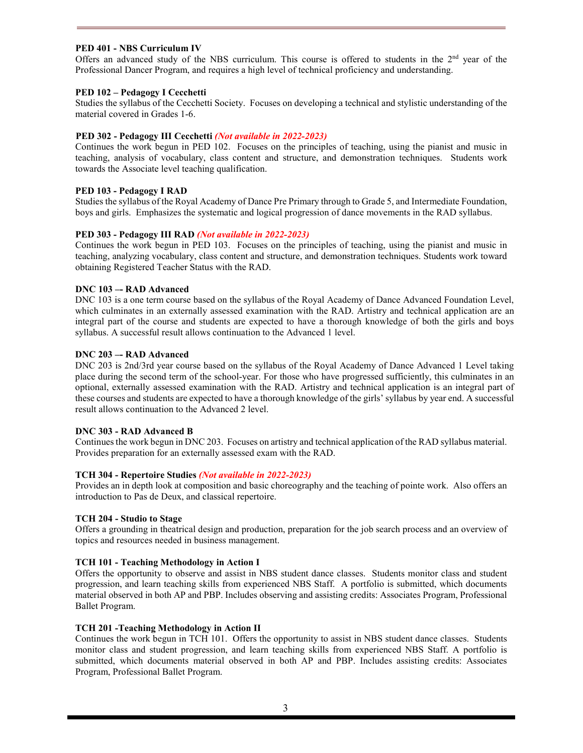# **PED 401 - NBS Curriculum IV**

Offers an advanced study of the NBS curriculum. This course is offered to students in the  $2<sup>nd</sup>$  year of the Professional Dancer Program, and requires a high level of technical proficiency and understanding.

# **PED 102 – Pedagogy I Cecchetti**

Studies the syllabus of the Cecchetti Society. Focuses on developing a technical and stylistic understanding of the material covered in Grades 1-6.

# **PED 302 - Pedagogy III Cecchetti** *(Not available in 2022-2023)*

Continues the work begun in PED 102. Focuses on the principles of teaching, using the pianist and music in teaching, analysis of vocabulary, class content and structure, and demonstration techniques. Students work towards the Associate level teaching qualification.

# **PED 103 - Pedagogy I RAD**

Studies the syllabus of the Royal Academy of Dance Pre Primary through to Grade 5, and Intermediate Foundation, boys and girls. Emphasizes the systematic and logical progression of dance movements in the RAD syllabus.

# **PED 303 - Pedagogy III RAD** *(Not available in 2022-2023)*

Continues the work begun in PED 103. Focuses on the principles of teaching, using the pianist and music in teaching, analyzing vocabulary, class content and structure, and demonstration techniques. Students work toward obtaining Registered Teacher Status with the RAD.

# **DNC 103 –- RAD Advanced**

DNC 103 is a one term course based on the syllabus of the Royal Academy of Dance Advanced Foundation Level, which culminates in an externally assessed examination with the RAD. Artistry and technical application are an integral part of the course and students are expected to have a thorough knowledge of both the girls and boys syllabus. A successful result allows continuation to the Advanced 1 level.

# **DNC 203 –- RAD Advanced**

DNC 203 is 2nd/3rd year course based on the syllabus of the Royal Academy of Dance Advanced 1 Level taking place during the second term of the school-year. For those who have progressed sufficiently, this culminates in an optional, externally assessed examination with the RAD. Artistry and technical application is an integral part of these courses and students are expected to have a thorough knowledge of the girls' syllabus by year end. A successful result allows continuation to the Advanced 2 level.

## **DNC 303 - RAD Advanced B**

Continues the work begun in DNC 203. Focuses on artistry and technical application of the RAD syllabus material. Provides preparation for an externally assessed exam with the RAD.

## **TCH 304 - Repertoire Studies** *(Not available in 2022-2023)*

Provides an in depth look at composition and basic choreography and the teaching of pointe work. Also offers an introduction to Pas de Deux, and classical repertoire.

## **TCH 204 - Studio to Stage**

Offers a grounding in theatrical design and production, preparation for the job search process and an overview of topics and resources needed in business management.

## **TCH 101 - Teaching Methodology in Action I**

Offers the opportunity to observe and assist in NBS student dance classes. Students monitor class and student progression, and learn teaching skills from experienced NBS Staff. A portfolio is submitted, which documents material observed in both AP and PBP. Includes observing and assisting credits: Associates Program, Professional Ballet Program.

# **TCH 201 -Teaching Methodology in Action II**

Continues the work begun in TCH 101. Offers the opportunity to assist in NBS student dance classes. Students monitor class and student progression, and learn teaching skills from experienced NBS Staff. A portfolio is submitted, which documents material observed in both AP and PBP. Includes assisting credits: Associates Program, Professional Ballet Program.